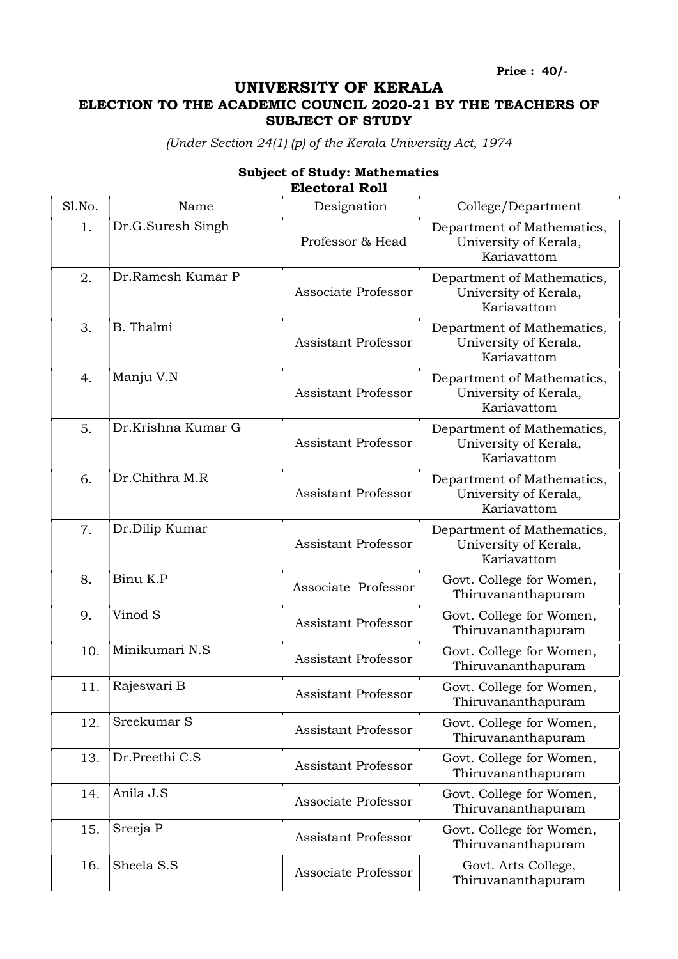Price : 40/-

## UNIVERSITY OF KERALA ELECTION TO THE ACADEMIC COUNCIL 2020-21 BY THE TEACHERS OF SUBJECT OF STUDY

(Under Section 24(1) (p) of the Kerala University Act, 1974

| Sl.No. | Name               | Designation                | College/Department                                                 |
|--------|--------------------|----------------------------|--------------------------------------------------------------------|
| 1.     | Dr.G.Suresh Singh  | Professor & Head           | Department of Mathematics,<br>University of Kerala,<br>Kariavattom |
| 2.     | Dr.Ramesh Kumar P  | Associate Professor        | Department of Mathematics,<br>University of Kerala,<br>Kariavattom |
| 3.     | B. Thalmi          | <b>Assistant Professor</b> | Department of Mathematics,<br>University of Kerala,<br>Kariavattom |
| 4.     | Manju V.N          | <b>Assistant Professor</b> | Department of Mathematics,<br>University of Kerala,<br>Kariavattom |
| 5.     | Dr.Krishna Kumar G | <b>Assistant Professor</b> | Department of Mathematics,<br>University of Kerala,<br>Kariavattom |
| 6.     | Dr.Chithra M.R     | <b>Assistant Professor</b> | Department of Mathematics,<br>University of Kerala,<br>Kariavattom |
| 7.     | Dr.Dilip Kumar     | <b>Assistant Professor</b> | Department of Mathematics,<br>University of Kerala,<br>Kariavattom |
| 8.     | Binu K.P           | Associate Professor        | Govt. College for Women,<br>Thiruvananthapuram                     |
| 9.     | Vinod S            | <b>Assistant Professor</b> | Govt. College for Women,<br>Thiruvananthapuram                     |
| 10.    | Minikumari N.S     | <b>Assistant Professor</b> | Govt. College for Women,<br>Thiruvananthapuram                     |
| 11.    | Rajeswari B        | <b>Assistant Professor</b> | Govt. College for Women,<br>Thiruvananthapuram                     |
| 12.    | Sreekumar S        | <b>Assistant Professor</b> | Govt. College for Women,<br>Thiruvananthapuram                     |
| 13.    | Dr.Preethi C.S     | <b>Assistant Professor</b> | Govt. College for Women,<br>Thiruvananthapuram                     |
| 14.    | Anila J.S          | Associate Professor        | Govt. College for Women,<br>Thiruvananthapuram                     |
| 15.    | Sreeja P           | <b>Assistant Professor</b> | Govt. College for Women,<br>Thiruvananthapuram                     |
| 16.    | Sheela S.S         | Associate Professor        | Govt. Arts College,<br>Thiruvananthapuram                          |

## Subject of Study: Mathematics Electoral Roll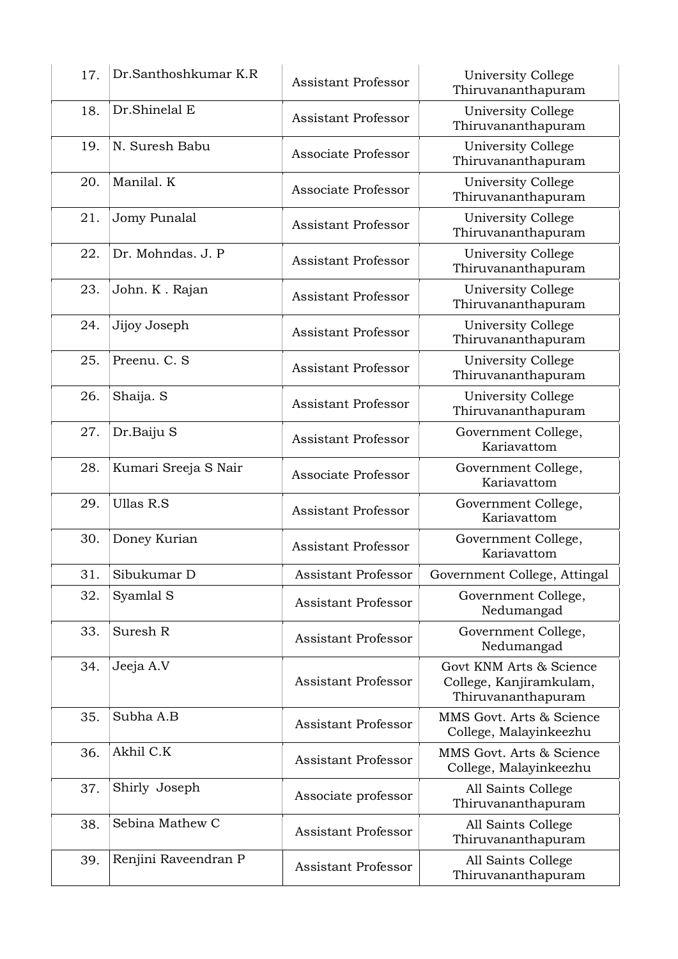| 17. | Dr.Santhoshkumar K.R | <b>Assistant Professor</b> | University College<br>Thiruvananthapuram                                 |
|-----|----------------------|----------------------------|--------------------------------------------------------------------------|
| 18. | Dr.Shinelal E        | <b>Assistant Professor</b> | University College<br>Thiruvananthapuram                                 |
| 19. | N. Suresh Babu       | Associate Professor        | University College<br>Thiruvananthapuram                                 |
| 20. | Manilal. K           | Associate Professor        | University College<br>Thiruvananthapuram                                 |
| 21. | Jomy Punalal         | <b>Assistant Professor</b> | University College<br>Thiruvananthapuram                                 |
| 22. | Dr. Mohndas. J. P    | <b>Assistant Professor</b> | University College<br>Thiruvananthapuram                                 |
| 23. | John. K. Rajan       | <b>Assistant Professor</b> | University College<br>Thiruvananthapuram                                 |
| 24. | Jijoy Joseph         | <b>Assistant Professor</b> | University College<br>Thiruvananthapuram                                 |
| 25. | Preenu. C. S         | <b>Assistant Professor</b> | University College<br>Thiruvananthapuram                                 |
| 26. | Shaija. S            | <b>Assistant Professor</b> | University College<br>Thiruvananthapuram                                 |
| 27. | Dr.Baiju S           | <b>Assistant Professor</b> | Government College,<br>Kariavattom                                       |
| 28. | Kumari Sreeja S Nair | Associate Professor        | Government College,<br>Kariavattom                                       |
| 29. | <b>Ullas R.S</b>     | <b>Assistant Professor</b> | Government College,<br>Kariavattom                                       |
| 30. | Doney Kurian         | <b>Assistant Professor</b> | Government College,<br>Kariavattom                                       |
| 31. | Sibukumar D          | Assistant Professor        | Government College, Attingal                                             |
| 32. | Syamlal S            | <b>Assistant Professor</b> | Government College,<br>Nedumangad                                        |
| 33. | Suresh R             | <b>Assistant Professor</b> | Government College,<br>Nedumangad                                        |
| 34. | Jeeja A.V            | <b>Assistant Professor</b> | Govt KNM Arts & Science<br>College, Kanjiramkulam,<br>Thiruvananthapuram |
| 35. | Subha A.B            | <b>Assistant Professor</b> | MMS Govt. Arts & Science<br>College, Malayinkeezhu                       |
| 36. | Akhil C.K            | Assistant Professor        | MMS Govt. Arts & Science<br>College, Malayinkeezhu                       |
| 37. | Shirly Joseph        | Associate professor        | All Saints College<br>Thiruvananthapuram                                 |
| 38. | Sebina Mathew C      | <b>Assistant Professor</b> | All Saints College<br>Thiruvananthapuram                                 |
| 39. | Renjini Raveendran P | <b>Assistant Professor</b> | All Saints College<br>Thiruvananthapuram                                 |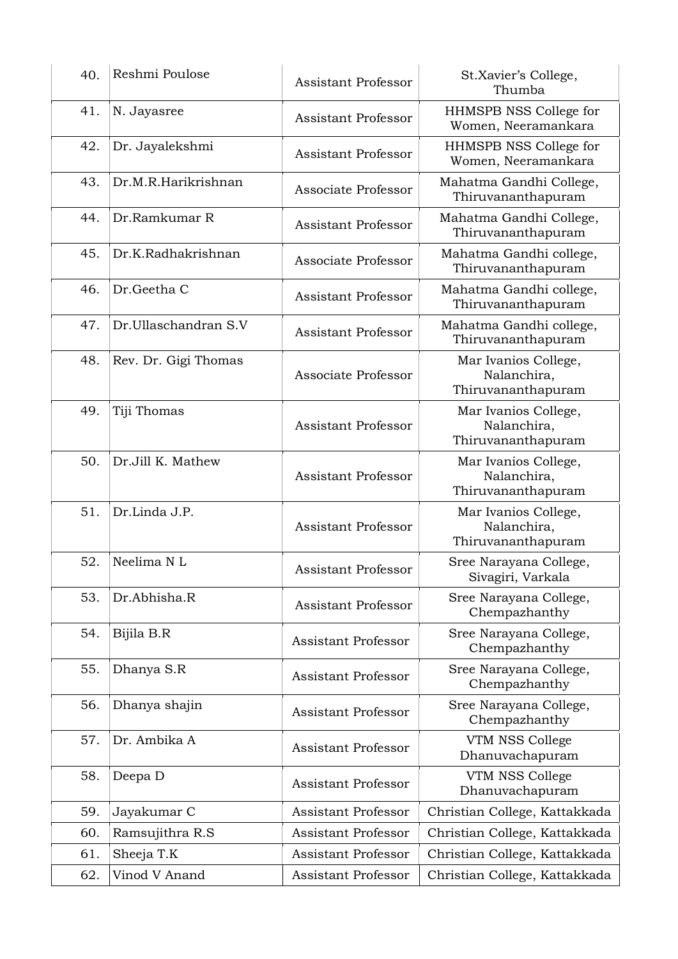| 40. | Reshmi Poulose       | <b>Assistant Professor</b> | St.Xavier's College,<br>Thumba                            |
|-----|----------------------|----------------------------|-----------------------------------------------------------|
| 41. | N. Jayasree          | <b>Assistant Professor</b> | HHMSPB NSS College for<br>Women, Neeramankara             |
| 42. | Dr. Jayalekshmi      | <b>Assistant Professor</b> | HHMSPB NSS College for<br>Women, Neeramankara             |
| 43. | Dr.M.R.Harikrishnan  | Associate Professor        | Mahatma Gandhi College,<br>Thiruvananthapuram             |
| 44. | Dr.Ramkumar R        | Assistant Professor        | Mahatma Gandhi College,<br>Thiruvananthapuram             |
| 45. | Dr.K.Radhakrishnan   | Associate Professor        | Mahatma Gandhi college,<br>Thiruvananthapuram             |
| 46. | Dr.Geetha C          | <b>Assistant Professor</b> | Mahatma Gandhi college,<br>Thiruvananthapuram             |
| 47. | Dr.Ullaschandran S.V | <b>Assistant Professor</b> | Mahatma Gandhi college,<br>Thiruvananthapuram             |
| 48. | Rev. Dr. Gigi Thomas | Associate Professor        | Mar Ivanios College,<br>Nalanchira,<br>Thiruvananthapuram |
| 49. | Tiji Thomas          | <b>Assistant Professor</b> | Mar Ivanios College,<br>Nalanchira,<br>Thiruvananthapuram |
| 50. | Dr.Jill K. Mathew    | <b>Assistant Professor</b> | Mar Ivanios College,<br>Nalanchira,<br>Thiruvananthapuram |
| 51. | Dr.Linda J.P.        | <b>Assistant Professor</b> | Mar Ivanios College,<br>Nalanchira,<br>Thiruvananthapuram |
| 52. | Neelima NL           | <b>Assistant Professor</b> | Sree Narayana College,<br>Sivagiri, Varkala               |
| 53. | Dr.Abhisha.R         | <b>Assistant Professor</b> | Sree Narayana College,<br>Chempazhanthy                   |
| 54. | Bijila B.R           | <b>Assistant Professor</b> | Sree Narayana College,<br>Chempazhanthy                   |
| 55. | Dhanya S.R           | <b>Assistant Professor</b> | Sree Narayana College,<br>Chempazhanthy                   |
| 56. | Dhanya shajin        | <b>Assistant Professor</b> | Sree Narayana College,<br>Chempazhanthy                   |
| 57. | Dr. Ambika A         | <b>Assistant Professor</b> | VTM NSS College<br>Dhanuvachapuram                        |
| 58. | Deepa D              | <b>Assistant Professor</b> | VTM NSS College<br>Dhanuvachapuram                        |
| 59. | Jayakumar C          | <b>Assistant Professor</b> | Christian College, Kattakkada                             |
| 60. | Ramsujithra R.S      | <b>Assistant Professor</b> | Christian College, Kattakkada                             |
| 61. | Sheeja T.K           | <b>Assistant Professor</b> | Christian College, Kattakkada                             |
| 62. | Vinod V Anand        | <b>Assistant Professor</b> | Christian College, Kattakkada                             |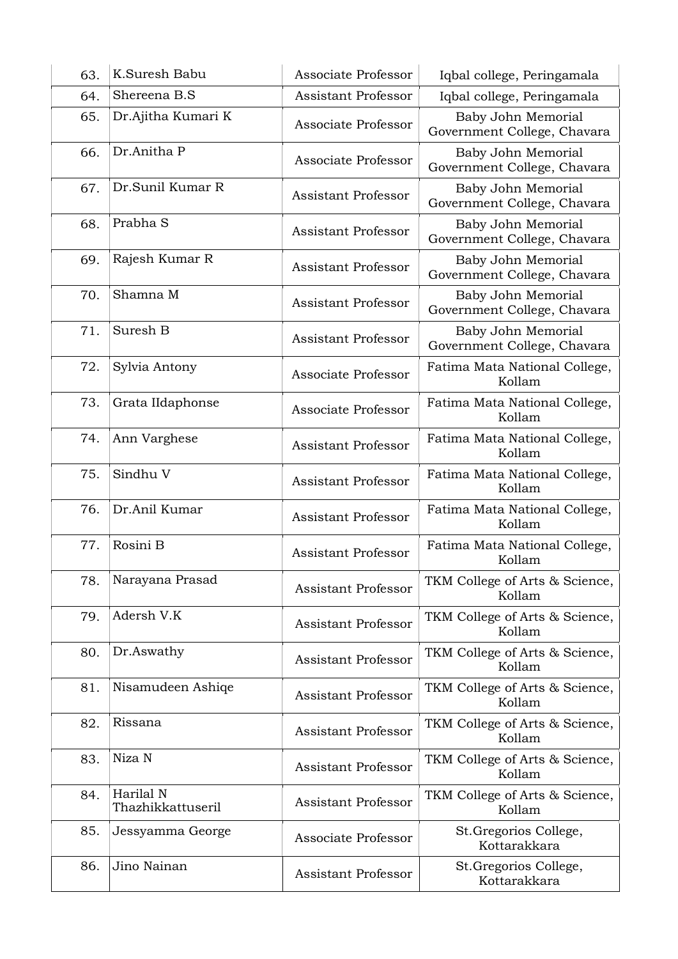| 63. | K.Suresh Babu                  | Associate Professor        | Iqbal college, Peringamala                        |
|-----|--------------------------------|----------------------------|---------------------------------------------------|
| 64. | Shereena B.S                   | <b>Assistant Professor</b> | Iqbal college, Peringamala                        |
| 65. | Dr.Ajitha Kumari K             | Associate Professor        | Baby John Memorial<br>Government College, Chavara |
| 66. | Dr.Anitha P                    | Associate Professor        | Baby John Memorial<br>Government College, Chavara |
| 67. | Dr.Sunil Kumar R               | <b>Assistant Professor</b> | Baby John Memorial<br>Government College, Chavara |
| 68. | Prabha <sub>S</sub>            | <b>Assistant Professor</b> | Baby John Memorial<br>Government College, Chavara |
| 69. | Rajesh Kumar R                 | <b>Assistant Professor</b> | Baby John Memorial<br>Government College, Chavara |
| 70. | Shamna M                       | <b>Assistant Professor</b> | Baby John Memorial<br>Government College, Chavara |
| 71. | Suresh B                       | <b>Assistant Professor</b> | Baby John Memorial<br>Government College, Chavara |
| 72. | Sylvia Antony                  | Associate Professor        | Fatima Mata National College,<br>Kollam           |
| 73. | Grata IIdaphonse               | Associate Professor        | Fatima Mata National College,<br>Kollam           |
| 74. | Ann Varghese                   | <b>Assistant Professor</b> | Fatima Mata National College,<br>Kollam           |
| 75. | Sindhu V                       | <b>Assistant Professor</b> | Fatima Mata National College,<br>Kollam           |
| 76. | Dr.Anil Kumar                  | <b>Assistant Professor</b> | Fatima Mata National College,<br>Kollam           |
| 77. | Rosini B                       | <b>Assistant Professor</b> | Fatima Mata National College,<br>Kollam           |
| 78. | Narayana Prasad                | <b>Assistant Professor</b> | TKM College of Arts & Science,<br>Kollam          |
| 79. | Adersh V.K                     | <b>Assistant Professor</b> | TKM College of Arts & Science,<br>Kollam          |
| 80. | Dr.Aswathy                     | <b>Assistant Professor</b> | TKM College of Arts & Science,<br>Kollam          |
| 81. | Nisamudeen Ashiqe              | <b>Assistant Professor</b> | TKM College of Arts & Science,<br>Kollam          |
| 82. | Rissana                        | <b>Assistant Professor</b> | TKM College of Arts & Science,<br>Kollam          |
| 83. | Niza N                         | <b>Assistant Professor</b> | TKM College of Arts & Science,<br>Kollam          |
| 84. | Harilal N<br>Thazhikkattuseril | <b>Assistant Professor</b> | TKM College of Arts & Science,<br>Kollam          |
| 85. | Jessyamma George               | Associate Professor        | St.Gregorios College,<br>Kottarakkara             |
| 86. | Jino Nainan                    | Assistant Professor        | St.Gregorios College,<br>Kottarakkara             |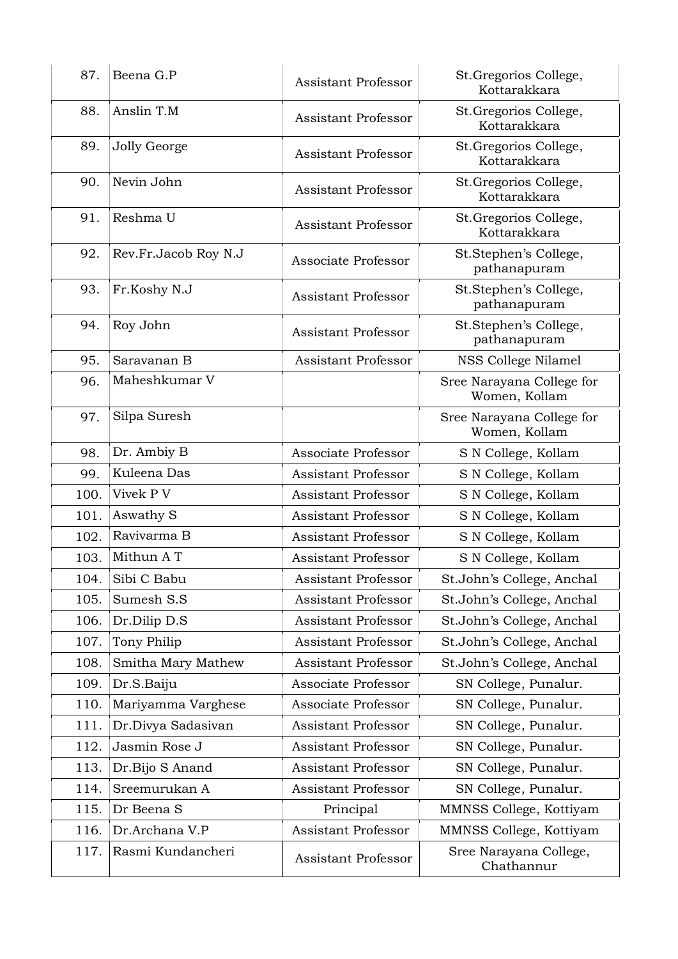| 87.  | Beena G.P            | <b>Assistant Professor</b> | St. Gregorios College,<br>Kottarakkara     |
|------|----------------------|----------------------------|--------------------------------------------|
| 88.  | Anslin T.M           | <b>Assistant Professor</b> | St.Gregorios College,<br>Kottarakkara      |
| 89.  | Jolly George         | <b>Assistant Professor</b> | St.Gregorios College,<br>Kottarakkara      |
| 90.  | Nevin John           | <b>Assistant Professor</b> | St.Gregorios College,<br>Kottarakkara      |
| 91.  | Reshma U             | <b>Assistant Professor</b> | St.Gregorios College,<br>Kottarakkara      |
| 92.  | Rev.Fr.Jacob Roy N.J | Associate Professor        | St.Stephen's College,<br>pathanapuram      |
| 93.  | Fr.Koshy N.J         | <b>Assistant Professor</b> | St.Stephen's College,<br>pathanapuram      |
| 94.  | Roy John             | <b>Assistant Professor</b> | St.Stephen's College,<br>pathanapuram      |
| 95.  | Saravanan B          | <b>Assistant Professor</b> | NSS College Nilamel                        |
| 96.  | Maheshkumar V        |                            | Sree Narayana College for<br>Women, Kollam |
| 97.  | Silpa Suresh         |                            | Sree Narayana College for<br>Women, Kollam |
| 98.  | Dr. Ambiy B          | Associate Professor        | S N College, Kollam                        |
| 99.  | Kuleena Das          | <b>Assistant Professor</b> | S N College, Kollam                        |
| 100. | Vivek P V            | <b>Assistant Professor</b> | S N College, Kollam                        |
| 101. | Aswathy S            | <b>Assistant Professor</b> | S N College, Kollam                        |
| 102. | Ravivarma B          | <b>Assistant Professor</b> | S N College, Kollam                        |
| 103. | Mithun A T           | <b>Assistant Professor</b> | S N College, Kollam                        |
| 104. | Sibi C Babu          | <b>Assistant Professor</b> | St.John's College, Anchal                  |
| 105. | Sumesh S.S           | <b>Assistant Professor</b> | St.John's College, Anchal                  |
| 106. | Dr.Dilip D.S         | <b>Assistant Professor</b> | St.John's College, Anchal                  |
| 107. | Tony Philip          | <b>Assistant Professor</b> | St.John's College, Anchal                  |
| 108. | Smitha Mary Mathew   | <b>Assistant Professor</b> | St.John's College, Anchal                  |
| 109. | Dr.S.Baiju           | Associate Professor        | SN College, Punalur.                       |
| 110. | Mariyamma Varghese   | Associate Professor        | SN College, Punalur.                       |
| 111. | Dr.Divya Sadasivan   | <b>Assistant Professor</b> | SN College, Punalur.                       |
| 112. | Jasmin Rose J        | <b>Assistant Professor</b> | SN College, Punalur.                       |
| 113. | Dr.Bijo S Anand      | <b>Assistant Professor</b> | SN College, Punalur.                       |
| 114. | Sreemurukan A        | <b>Assistant Professor</b> | SN College, Punalur.                       |
| 115. | Dr Beena S           | Principal                  | MMNSS College, Kottiyam                    |
| 116. | Dr.Archana V.P       | <b>Assistant Professor</b> | MMNSS College, Kottiyam                    |
| 117. | Rasmi Kundancheri    | <b>Assistant Professor</b> | Sree Narayana College,<br>Chathannur       |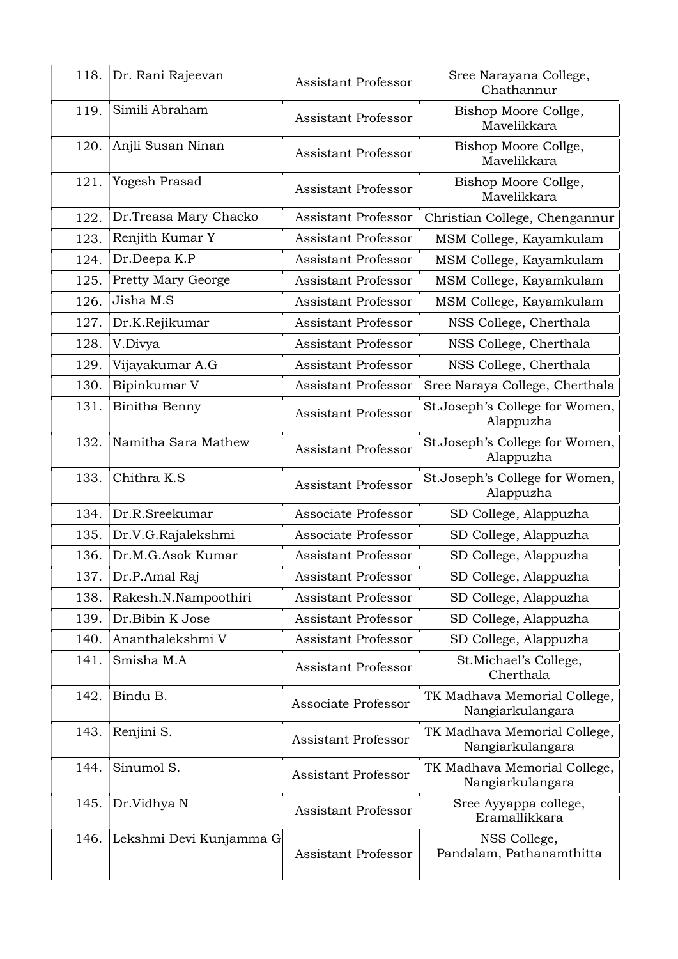| 118. | Dr. Rani Rajeevan         | <b>Assistant Professor</b> | Sree Narayana College,<br>Chathannur             |
|------|---------------------------|----------------------------|--------------------------------------------------|
| 119. | Simili Abraham            | <b>Assistant Professor</b> | Bishop Moore Collge,<br>Mavelikkara              |
| 120. | Anjli Susan Ninan         | <b>Assistant Professor</b> | Bishop Moore Collge,<br>Mavelikkara              |
| 121. | Yogesh Prasad             | <b>Assistant Professor</b> | Bishop Moore Collge,<br>Mavelikkara              |
| 122. | Dr.Treasa Mary Chacko     | <b>Assistant Professor</b> | Christian College, Chengannur                    |
| 123. | Renjith Kumar Y           | <b>Assistant Professor</b> | MSM College, Kayamkulam                          |
| 124. | Dr.Deepa K.P              | <b>Assistant Professor</b> | MSM College, Kayamkulam                          |
| 125. | <b>Pretty Mary George</b> | <b>Assistant Professor</b> | MSM College, Kayamkulam                          |
| 126. | Jisha M.S                 | <b>Assistant Professor</b> | MSM College, Kayamkulam                          |
| 127. | Dr.K.Rejikumar            | <b>Assistant Professor</b> | NSS College, Cherthala                           |
| 128. | V.Divya                   | <b>Assistant Professor</b> | NSS College, Cherthala                           |
| 129. | Vijayakumar A.G           | <b>Assistant Professor</b> | NSS College, Cherthala                           |
| 130. | Bipinkumar V              | <b>Assistant Professor</b> | Sree Naraya College, Cherthala                   |
| 131. | Binitha Benny             | <b>Assistant Professor</b> | St.Joseph's College for Women,<br>Alappuzha      |
| 132. | Namitha Sara Mathew       | <b>Assistant Professor</b> | St.Joseph's College for Women,<br>Alappuzha      |
| 133. | Chithra K.S               | <b>Assistant Professor</b> | St.Joseph's College for Women,<br>Alappuzha      |
| 134. | Dr.R.Sreekumar            | Associate Professor        | SD College, Alappuzha                            |
| 135. | Dr.V.G.Rajalekshmi        | Associate Professor        | SD College, Alappuzha                            |
| 136. | Dr.M.G.Asok Kumar         | <b>Assistant Professor</b> | SD College, Alappuzha                            |
| 137. | Dr.P.Amal Raj             | <b>Assistant Professor</b> | SD College, Alappuzha                            |
| 138. | Rakesh.N.Nampoothiri      | <b>Assistant Professor</b> | SD College, Alappuzha                            |
| 139. | Dr.Bibin K Jose           | <b>Assistant Professor</b> | SD College, Alappuzha                            |
| 140. | Ananthalekshmi V          | <b>Assistant Professor</b> | SD College, Alappuzha                            |
| 141. | Smisha M.A                | <b>Assistant Professor</b> | St.Michael's College,<br>Cherthala               |
| 142. | Bindu B.                  | Associate Professor        | TK Madhava Memorial College,<br>Nangiarkulangara |
| 143. | Renjini S.                | <b>Assistant Professor</b> | TK Madhava Memorial College,<br>Nangiarkulangara |
| 144. | Sinumol S.                | <b>Assistant Professor</b> | TK Madhava Memorial College,<br>Nangiarkulangara |
| 145. | Dr.Vidhya N               | <b>Assistant Professor</b> | Sree Ayyappa college,<br>Eramallikkara           |
| 146. | Lekshmi Devi Kunjamma G   | <b>Assistant Professor</b> | NSS College,<br>Pandalam, Pathanamthitta         |